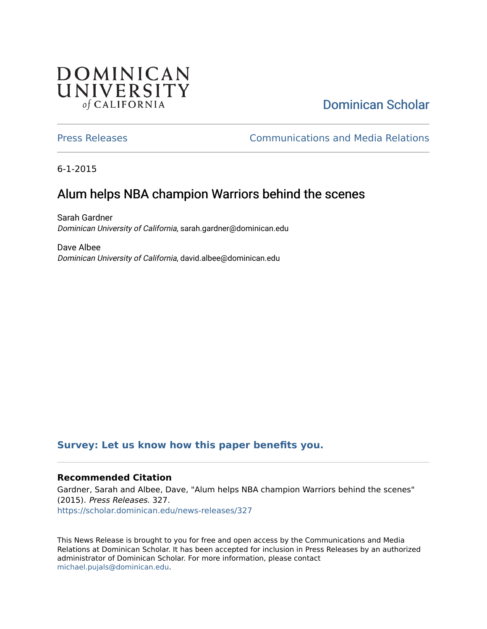## **DOMINICAN** UNIVERSITY of CALIFORNIA

# [Dominican Scholar](https://scholar.dominican.edu/)

[Press Releases](https://scholar.dominican.edu/news-releases) [Communications and Media Relations](https://scholar.dominican.edu/communications-media) 

6-1-2015

# Alum helps NBA champion Warriors behind the scenes

Sarah Gardner Dominican University of California, sarah.gardner@dominican.edu

Dave Albee Dominican University of California, david.albee@dominican.edu

#### **[Survey: Let us know how this paper benefits you.](https://dominican.libwizard.com/dominican-scholar-feedback)**

#### **Recommended Citation**

Gardner, Sarah and Albee, Dave, "Alum helps NBA champion Warriors behind the scenes" (2015). Press Releases. 327. [https://scholar.dominican.edu/news-releases/327](https://scholar.dominican.edu/news-releases/327?utm_source=scholar.dominican.edu%2Fnews-releases%2F327&utm_medium=PDF&utm_campaign=PDFCoverPages)

This News Release is brought to you for free and open access by the Communications and Media Relations at Dominican Scholar. It has been accepted for inclusion in Press Releases by an authorized administrator of Dominican Scholar. For more information, please contact [michael.pujals@dominican.edu.](mailto:michael.pujals@dominican.edu)